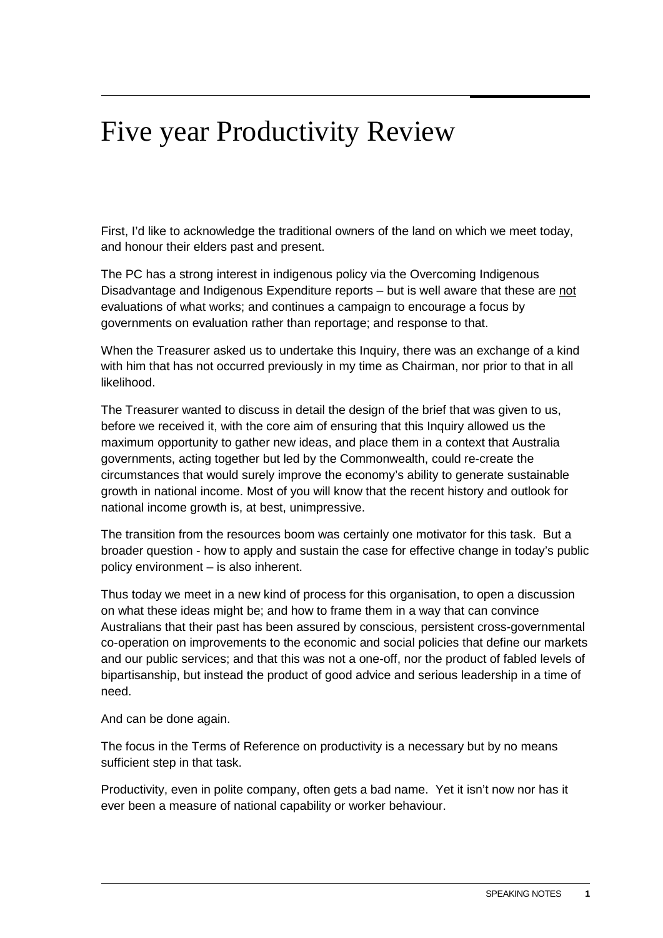## Five year Productivity Review

First, I'd like to acknowledge the traditional owners of the land on which we meet today, and honour their elders past and present.

The PC has a strong interest in indigenous policy via the Overcoming Indigenous Disadvantage and Indigenous Expenditure reports – but is well aware that these are not evaluations of what works; and continues a campaign to encourage a focus by governments on evaluation rather than reportage; and response to that.

When the Treasurer asked us to undertake this Inquiry, there was an exchange of a kind with him that has not occurred previously in my time as Chairman, nor prior to that in all likelihood.

The Treasurer wanted to discuss in detail the design of the brief that was given to us, before we received it, with the core aim of ensuring that this Inquiry allowed us the maximum opportunity to gather new ideas, and place them in a context that Australia governments, acting together but led by the Commonwealth, could re-create the circumstances that would surely improve the economy's ability to generate sustainable growth in national income. Most of you will know that the recent history and outlook for national income growth is, at best, unimpressive.

The transition from the resources boom was certainly one motivator for this task. But a broader question - how to apply and sustain the case for effective change in today's public policy environment – is also inherent.

Thus today we meet in a new kind of process for this organisation, to open a discussion on what these ideas might be; and how to frame them in a way that can convince Australians that their past has been assured by conscious, persistent cross-governmental co-operation on improvements to the economic and social policies that define our markets and our public services; and that this was not a one-off, nor the product of fabled levels of bipartisanship, but instead the product of good advice and serious leadership in a time of need.

And can be done again.

The focus in the Terms of Reference on productivity is a necessary but by no means sufficient step in that task.

Productivity, even in polite company, often gets a bad name. Yet it isn't now nor has it ever been a measure of national capability or worker behaviour.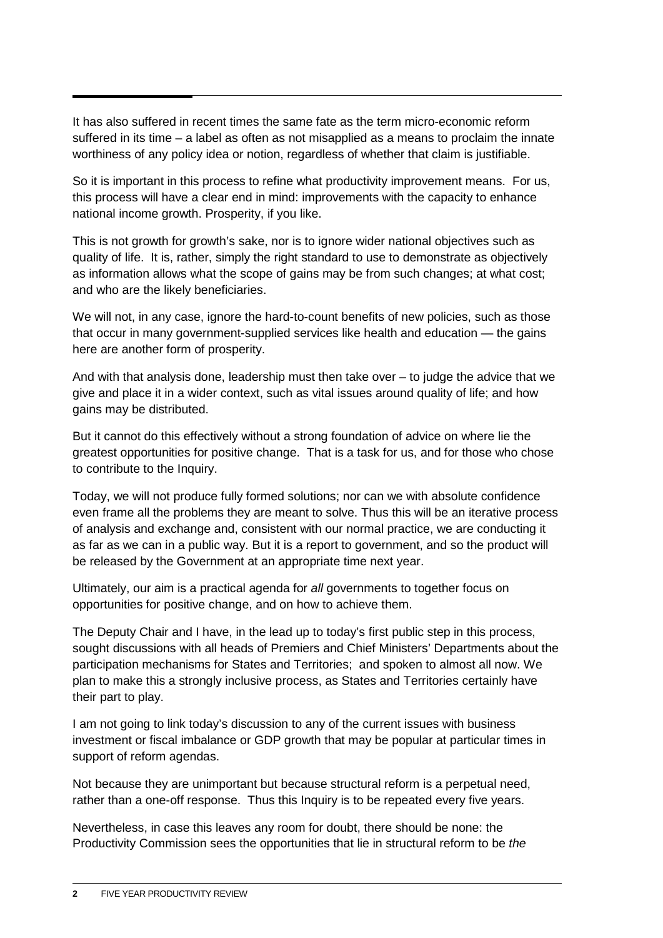It has also suffered in recent times the same fate as the term micro-economic reform suffered in its time – a label as often as not misapplied as a means to proclaim the innate worthiness of any policy idea or notion, regardless of whether that claim is justifiable.

So it is important in this process to refine what productivity improvement means. For us, this process will have a clear end in mind: improvements with the capacity to enhance national income growth. Prosperity, if you like.

This is not growth for growth's sake, nor is to ignore wider national objectives such as quality of life. It is, rather, simply the right standard to use to demonstrate as objectively as information allows what the scope of gains may be from such changes; at what cost; and who are the likely beneficiaries.

We will not, in any case, ignore the hard-to-count benefits of new policies, such as those that occur in many government-supplied services like health and education — the gains here are another form of prosperity.

And with that analysis done, leadership must then take over – to judge the advice that we give and place it in a wider context, such as vital issues around quality of life; and how gains may be distributed.

But it cannot do this effectively without a strong foundation of advice on where lie the greatest opportunities for positive change. That is a task for us, and for those who chose to contribute to the Inquiry.

Today, we will not produce fully formed solutions; nor can we with absolute confidence even frame all the problems they are meant to solve. Thus this will be an iterative process of analysis and exchange and, consistent with our normal practice, we are conducting it as far as we can in a public way. But it is a report to government, and so the product will be released by the Government at an appropriate time next year.

Ultimately, our aim is a practical agenda for *all* governments to together focus on opportunities for positive change, and on how to achieve them.

The Deputy Chair and I have, in the lead up to today's first public step in this process, sought discussions with all heads of Premiers and Chief Ministers' Departments about the participation mechanisms for States and Territories; and spoken to almost all now. We plan to make this a strongly inclusive process, as States and Territories certainly have their part to play.

I am not going to link today's discussion to any of the current issues with business investment or fiscal imbalance or GDP growth that may be popular at particular times in support of reform agendas.

Not because they are unimportant but because structural reform is a perpetual need, rather than a one-off response. Thus this Inquiry is to be repeated every five years.

Nevertheless, in case this leaves any room for doubt, there should be none: the Productivity Commission sees the opportunities that lie in structural reform to be *the*